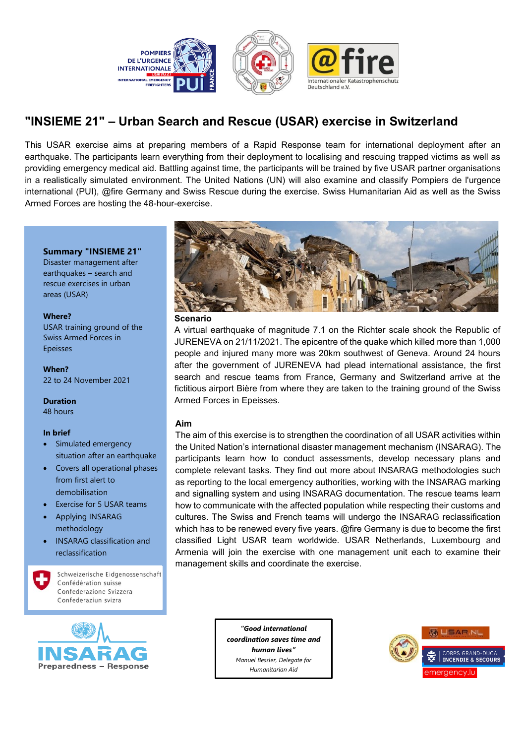

# **"INSIEME 21" – Urban Search and Rescue (USAR) exercise in Switzerland**

This USAR exercise aims at preparing members of a Rapid Response team for international deployment after an earthquake. The participants learn everything from their deployment to localising and rescuing trapped victims as well as providing emergency medical aid. Battling against time, the participants will be trained by five USAR partner organisations in a realistically simulated environment. The United Nations (UN) will also examine and classify Pompiers de l'urgence international (PUI), @fire Germany and Swiss Rescue during the exercise. Swiss Humanitarian Aid as well as the Swiss Armed Forces are hosting the 48-hour-exercise.

#### **Summary "INSIEME 21"**

Disaster management after earthquakes – search and rescue exercises in urban areas (USAR)

#### **Where?**

USAR training ground of the Swiss Armed Forces in Epeisses

**When?** 22 to 24 November 2021

#### **Duration**

48 hours

#### **In brief**

- Simulated emergency situation after an earthquake
- Covers all operational phases from first alert to demobilisation
- Exercise for 5 USAR teams
- Applying INSARAG methodology
- INSARAG classification and reclassification

Schweizerische Eidgenossenschaft Confédération suisse Confederazione Svizzera Confederaziun svizra





#### **Scenario**

A virtual earthquake of magnitude 7.1 on the Richter scale shook the Republic of JURENEVA on 21/11/2021. The epicentre of the quake which killed more than 1,000 people and injured many more was 20km southwest of Geneva. Around 24 hours after the government of JURENEVA had plead international assistance, the first search and rescue teams from France, Germany and Switzerland arrive at the fictitious airport Bière from where they are taken to the training ground of the Swiss Armed Forces in Epeisses.

#### **Aim**

The aim of this exercise is to strengthen the coordination of all USAR activities within the United Nation's international disaster management mechanism (INSARAG). The participants learn how to conduct assessments, develop necessary plans and complete relevant tasks. They find out more about INSARAG methodologies such as reporting to the local emergency authorities, working with the INSARAG marking and signalling system and using INSARAG documentation. The rescue teams learn how to communicate with the affected population while respecting their customs and cultures. The Swiss and French teams will undergo the INSARAG reclassification which has to be renewed every five years. @fire Germany is due to become the first classified Light USAR team worldwide. USAR Netherlands, Luxembourg and Armenia will join the exercise with one management unit each to examine their management skills and coordinate the exercise.

> *"Good international coordination saves time and human lives" Manuel Bessler, Delegate for Humanitarian Aid*